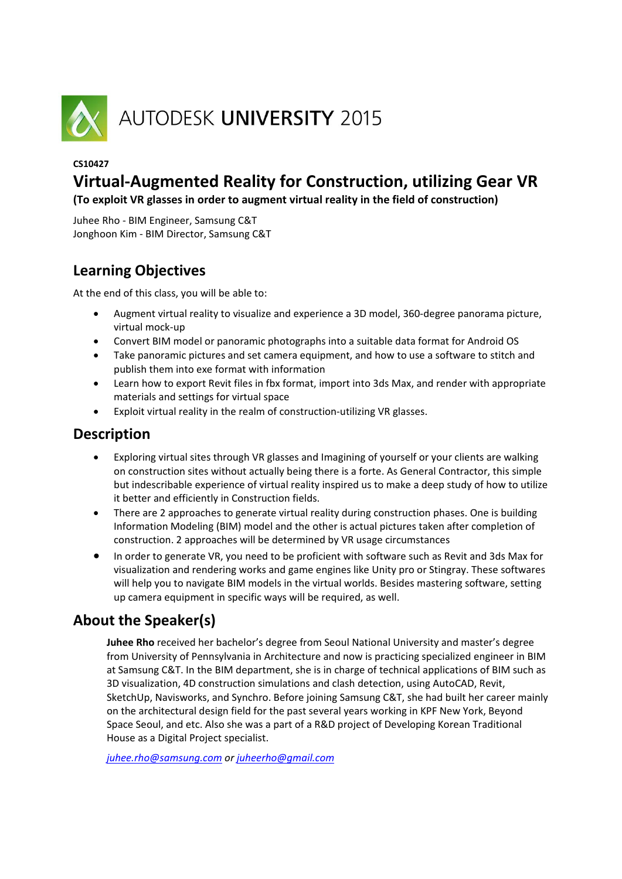

### **CS10427**

## **Virtual‐Augmented Reality for Construction, utilizing Gear VR**

**(To exploit VR glasses in order to augment virtual reality in the field of construction)**

Juhee Rho ‐ BIM Engineer, Samsung C&T Jonghoon Kim ‐ BIM Director, Samsung C&T

### **Learning Objectives**

At the end of this class, you will be able to:

- Augment virtual reality to visualize and experience a 3D model, 360‐degree panorama picture, virtual mock‐up
- Convert BIM model or panoramic photographs into a suitable data format for Android OS
- Take panoramic pictures and set camera equipment, and how to use a software to stitch and publish them into exe format with information
- Learn how to export Revit files in fbx format, import into 3ds Max, and render with appropriate materials and settings for virtual space
- Exploit virtual reality in the realm of construction-utilizing VR glasses.

### **Description**

- Exploring virtual sites through VR glasses and Imagining of yourself or your clients are walking on construction sites without actually being there is a forte. As General Contractor, this simple but indescribable experience of virtual reality inspired us to make a deep study of how to utilize it better and efficiently in Construction fields.
- There are 2 approaches to generate virtual reality during construction phases. One is building Information Modeling (BIM) model and the other is actual pictures taken after completion of construction. 2 approaches will be determined by VR usage circumstances
- In order to generate VR, you need to be proficient with software such as Revit and 3ds Max for visualization and rendering works and game engines like Unity pro or Stingray. These softwares will help you to navigate BIM models in the virtual worlds. Besides mastering software, setting up camera equipment in specific ways will be required, as well.

### **About the Speaker(s)**

**Juhee Rho** received her bachelor's degree from Seoul National University and master's degree from University of Pennsylvania in Architecture and now is practicing specialized engineer in BIM at Samsung C&T. In the BIM department, she is in charge of technical applications of BIM such as 3D visualization, 4D construction simulations and clash detection, using AutoCAD, Revit, SketchUp, Navisworks, and Synchro. Before joining Samsung C&T, she had built her career mainly on the architectural design field for the past several years working in KPF New York, Beyond Space Seoul, and etc. Also she was a part of a R&D project of Developing Korean Traditional House as a Digital Project specialist.

*juhee.rho@samsung.com or juheerho@gmail.com*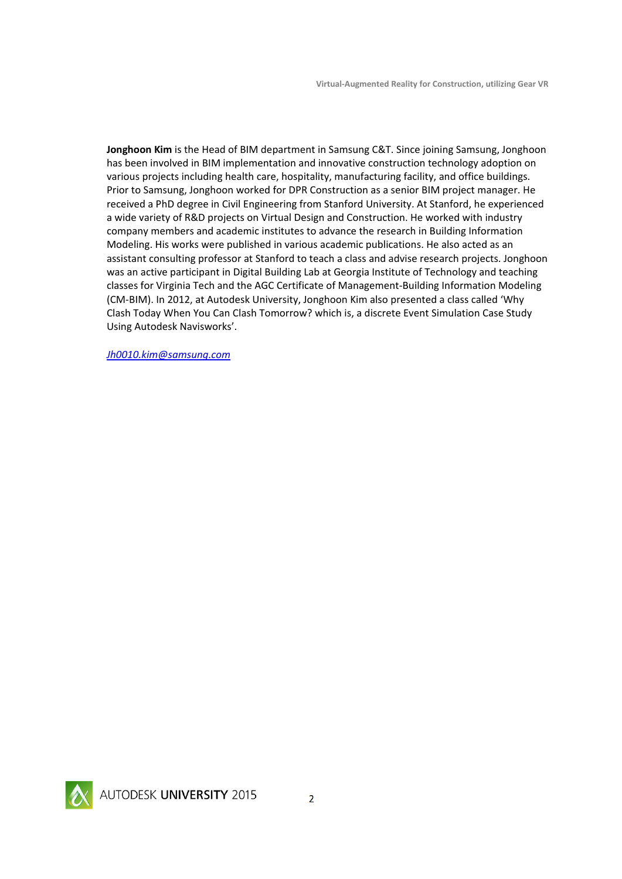**Jonghoon Kim** is the Head of BIM department in Samsung C&T. Since joining Samsung, Jonghoon has been involved in BIM implementation and innovative construction technology adoption on various projects including health care, hospitality, manufacturing facility, and office buildings. Prior to Samsung, Jonghoon worked for DPR Construction as a senior BIM project manager. He received a PhD degree in Civil Engineering from Stanford University. At Stanford, he experienced a wide variety of R&D projects on Virtual Design and Construction. He worked with industry company members and academic institutes to advance the research in Building Information Modeling. His works were published in various academic publications. He also acted as an assistant consulting professor at Stanford to teach a class and advise research projects. Jonghoon was an active participant in Digital Building Lab at Georgia Institute of Technology and teaching classes for Virginia Tech and the AGC Certificate of Management‐Building Information Modeling (CM‐BIM). In 2012, at Autodesk University, Jonghoon Kim also presented a class called 'Why Clash Today When You Can Clash Tomorrow? which is, a discrete Event Simulation Case Study Using Autodesk Navisworks'.

*Jh0010.kim@samsung.com* 

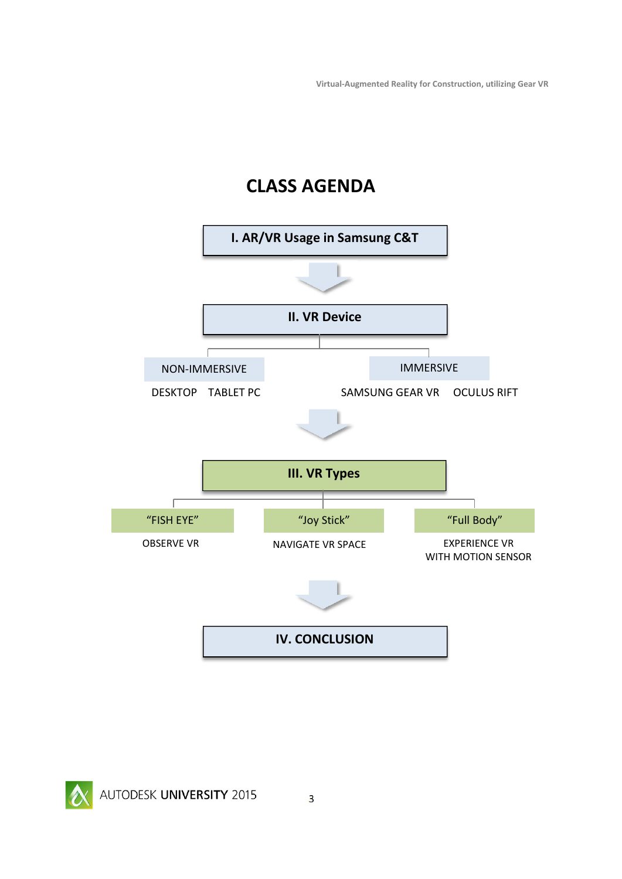**Virtual‐Augmented Reality for Construction, utilizing Gear VR**

# **CLASS AGENDA**

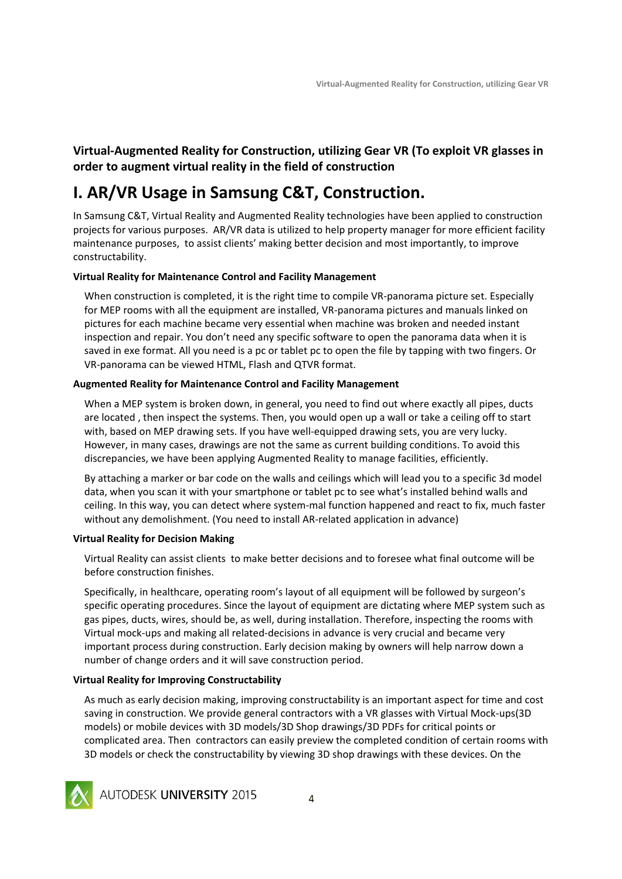**Virtual‐Augmented Reality for Construction, utilizing Gear VR (To exploit VR glasses in order to augment virtual reality in the field of construction**

# **I. AR/VR Usage in Samsung C&T, Construction.**

In Samsung C&T, Virtual Reality and Augmented Reality technologies have been applied to construction projects for various purposes. AR/VR data is utilized to help property manager for more efficient facility maintenance purposes, to assist clients' making better decision and most importantly, to improve constructability.

### **Virtual Reality for Maintenance Control and Facility Management**

When construction is completed, it is the right time to compile VR-panorama picture set. Especially for MEP rooms with all the equipment are installed, VR‐panorama pictures and manuals linked on pictures for each machine became very essential when machine was broken and needed instant inspection and repair. You don't need any specific software to open the panorama data when it is saved in exe format. All you need is a pc or tablet pc to open the file by tapping with two fingers. Or VR‐panorama can be viewed HTML, Flash and QTVR format.

### **Augmented Reality for Maintenance Control and Facility Management**

When a MEP system is broken down, in general, you need to find out where exactly all pipes, ducts are located , then inspect the systems. Then, you would open up a wall or take a ceiling off to start with, based on MEP drawing sets. If you have well-equipped drawing sets, you are very lucky. However, in many cases, drawings are not the same as current building conditions. To avoid this discrepancies, we have been applying Augmented Reality to manage facilities, efficiently.

By attaching a marker or bar code on the walls and ceilings which will lead you to a specific 3d model data, when you scan it with your smartphone or tablet pc to see what's installed behind walls and ceiling. In this way, you can detect where system‐mal function happened and react to fix, much faster without any demolishment. (You need to install AR-related application in advance)

### **Virtual Reality for Decision Making**

Virtual Reality can assist clients to make better decisions and to foresee what final outcome will be before construction finishes.

Specifically, in healthcare, operating room's layout of all equipment will be followed by surgeon's specific operating procedures. Since the layout of equipment are dictating where MEP system such as gas pipes, ducts, wires, should be, as well, during installation. Therefore, inspecting the rooms with Virtual mock‐ups and making all related‐decisions in advance is very crucial and became very important process during construction. Early decision making by owners will help narrow down a number of change orders and it will save construction period.

### **Virtual Reality for Improving Constructability**

As much as early decision making, improving constructability is an important aspect for time and cost saving in construction. We provide general contractors with a VR glasses with Virtual Mock-ups(3D models) or mobile devices with 3D models/3D Shop drawings/3D PDFs for critical points or complicated area. Then contractors can easily preview the completed condition of certain rooms with 3D models or check the constructability by viewing 3D shop drawings with these devices. On the



AUTODESK UNIVERSITY 2015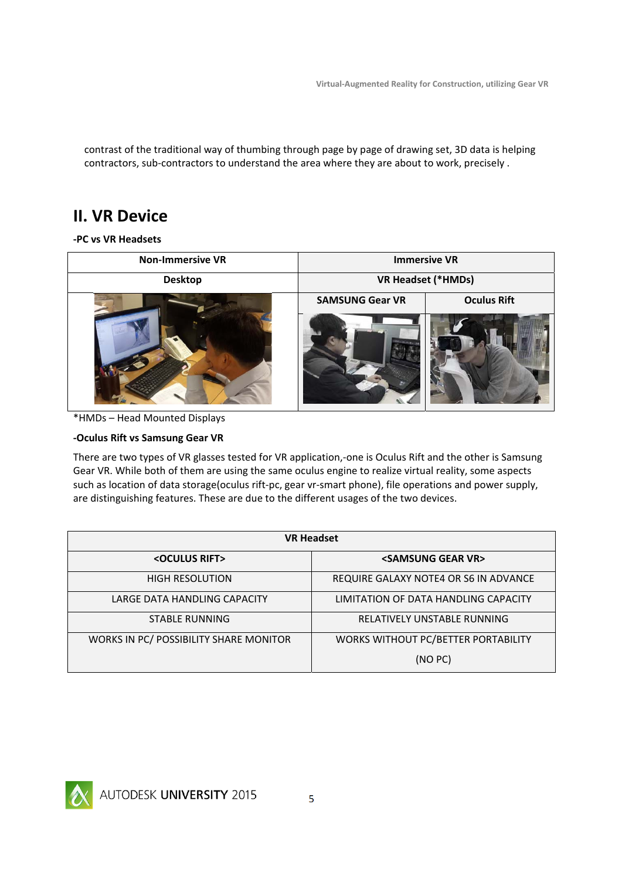contrast of the traditional way of thumbing through page by page of drawing set, 3D data is helping contractors, sub‐contractors to understand the area where they are about to work, precisely .

### **II. VR Device**

**‐PC vs VR Headsets**

| <b>Non-Immersive VR</b> | <b>Immersive VR</b>       |                    |  |
|-------------------------|---------------------------|--------------------|--|
| <b>Desktop</b>          | <b>VR Headset (*HMDs)</b> |                    |  |
|                         | <b>SAMSUNG Gear VR</b>    | <b>Oculus Rift</b> |  |
|                         |                           |                    |  |

<sup>\*</sup>HMDs – Head Mounted Displays

### **‐Oculus Rift vs Samsung Gear VR**

There are two types of VR glasses tested for VR application,-one is Oculus Rift and the other is Samsung Gear VR. While both of them are using the same oculus engine to realize virtual reality, some aspects such as location of data storage(oculus rift-pc, gear vr-smart phone), file operations and power supply, are distinguishing features. These are due to the different usages of the two devices.

| <b>VR Headset</b>                      |                                       |  |  |
|----------------------------------------|---------------------------------------|--|--|
| <oculus rift=""></oculus>              | <samsung gear="" vr=""></samsung>     |  |  |
| <b>HIGH RESOLUTION</b>                 | REQUIRE GALAXY NOTE4 OR S6 IN ADVANCE |  |  |
| LARGE DATA HANDLING CAPACITY           | LIMITATION OF DATA HANDLING CAPACITY  |  |  |
| STABLE RUNNING                         | RELATIVELY UNSTABLE RUNNING           |  |  |
| WORKS IN PC/ POSSIBILITY SHARE MONITOR | WORKS WITHOUT PC/BETTER PORTABILITY   |  |  |
|                                        | (NO PC)                               |  |  |

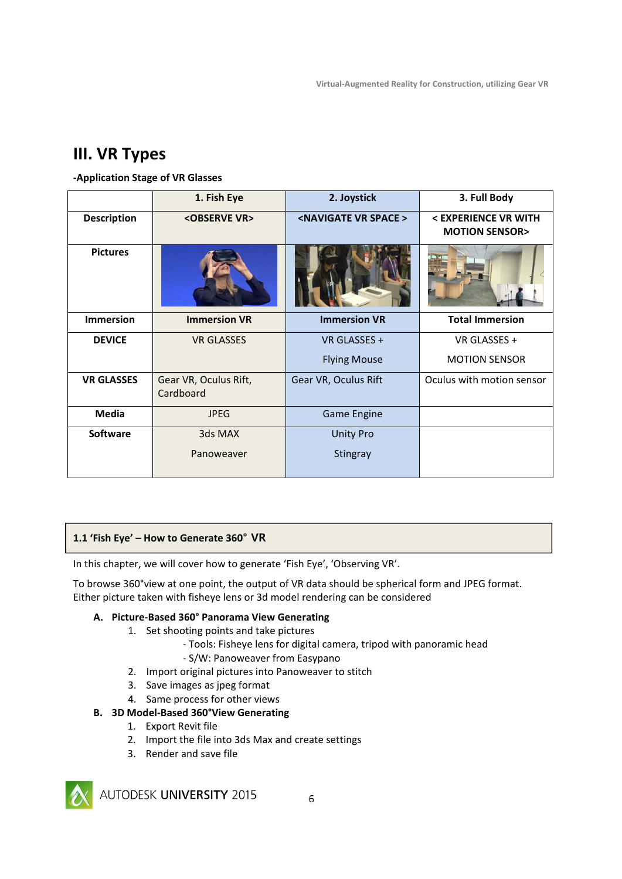### **III. VR Types**

### **‐Application Stage of VR Glasses**

|                    | 1. Fish Eye                        | 2. Joystick                          | 3. Full Body                                     |
|--------------------|------------------------------------|--------------------------------------|--------------------------------------------------|
| <b>Description</b> | <observe vr=""></observe>          | <navigate space="" vr=""></navigate> | < EXPERIENCE VR WITH<br><b>MOTION SENSOR&gt;</b> |
| <b>Pictures</b>    |                                    |                                      |                                                  |
| <b>Immersion</b>   | <b>Immersion VR</b>                | <b>Immersion VR</b>                  | <b>Total Immersion</b>                           |
| <b>DEVICE</b>      | <b>VR GLASSES</b>                  | VR GLASSES +                         | VR GLASSES +                                     |
|                    |                                    | <b>Flying Mouse</b>                  | <b>MOTION SENSOR</b>                             |
| <b>VR GLASSES</b>  | Gear VR, Oculus Rift,<br>Cardboard | Gear VR, Oculus Rift                 | Oculus with motion sensor                        |
| <b>Media</b>       | <b>JPEG</b>                        | <b>Game Engine</b>                   |                                                  |
| <b>Software</b>    | 3ds MAX                            | <b>Unity Pro</b>                     |                                                  |
|                    | Panoweaver                         | Stingray                             |                                                  |

### **1.1 'Fish Eye' – How to Generate 360° VR**

In this chapter, we will cover how to generate 'Fish Eye', 'Observing VR'.

To browse 360°view at one point, the output of VR data should be spherical form and JPEG format. Either picture taken with fisheye lens or 3d model rendering can be considered

### **A. Picture‐Based 360° Panorama View Generating**

- 1. Set shooting points and take pictures
	- ‐ Tools: Fisheye lens for digital camera, tripod with panoramic head
	- ‐ S/W: Panoweaver from Easypano
- 2. Import original pictures into Panoweaver to stitch
- 3. Save images as jpeg format
- 4. Same process for other views
- **B. 3D Model‐Based 360°View Generating**
	- 1. Export Revit file
	- 2. Import the file into 3ds Max and create settings
	- 3. Render and save file



AUTODESK UNIVERSITY 2015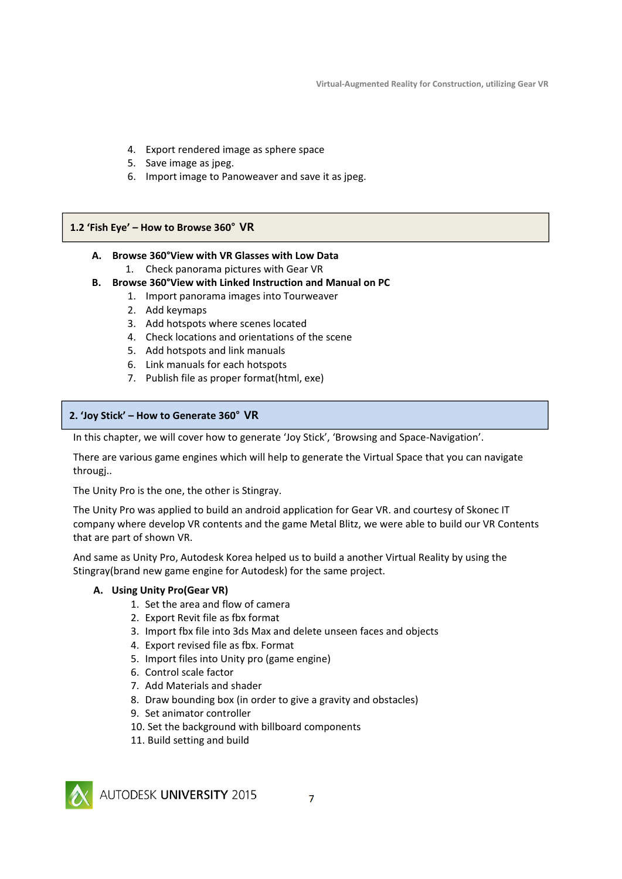- 4. Export rendered image as sphere space
- 5. Save image as jpeg.
- 6. Import image to Panoweaver and save it as jpeg.

#### **1.2 'Fish Eye' – How to Browse 360° VR**

#### **A. Browse 360°View with VR Glasses with Low Data**

- 1. Check panorama pictures with Gear VR
- **B. Browse 360°View with Linked Instruction and Manual on PC**
	- 1. Import panorama images into Tourweaver
	- 2. Add keymaps
	- 3. Add hotspots where scenes located
	- 4. Check locations and orientations of the scene
	- 5. Add hotspots and link manuals
	- 6. Link manuals for each hotspots
	- 7. Publish file as proper format(html, exe)

#### **2. 'Joy Stick' – How to Generate 360° VR**

In this chapter, we will cover how to generate 'Joy Stick', 'Browsing and Space‐Navigation'.

There are various game engines which will help to generate the Virtual Space that you can navigate througj..

The Unity Pro is the one, the other is Stingray.

The Unity Pro was applied to build an android application for Gear VR. and courtesy of Skonec IT company where develop VR contents and the game Metal Blitz, we were able to build our VR Contents that are part of shown VR.

And same as Unity Pro, Autodesk Korea helped us to build a another Virtual Reality by using the Stingray(brand new game engine for Autodesk) for the same project.

### **A. Using Unity Pro(Gear VR)**

- 1. Set the area and flow of camera
- 2. Export Revit file as fbx format
- 3. Import fbx file into 3ds Max and delete unseen faces and objects
- 4. Export revised file as fbx. Format
- 5. Import files into Unity pro (game engine)
- 6. Control scale factor
- 7. Add Materials and shader
- 8. Draw bounding box (in order to give a gravity and obstacles)
- 9. Set animator controller
- 10. Set the background with billboard components
- 11. Build setting and build



AUTODESK UNIVERSITY 2015